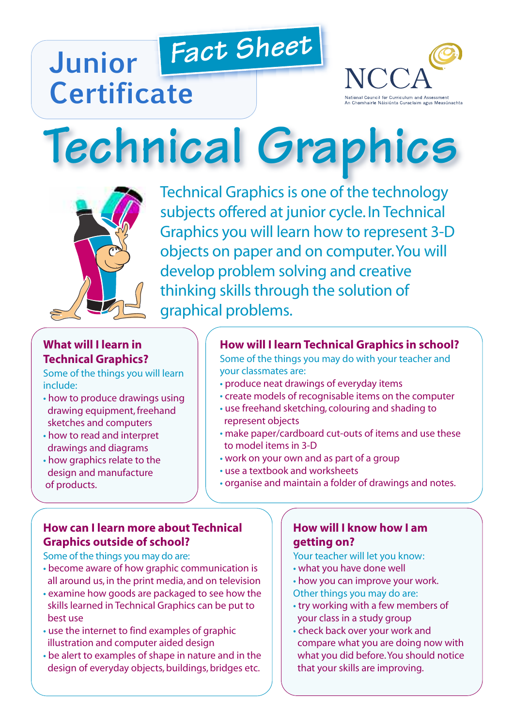# *Fact Sheet* **Junior Certificate**



# **Technical Graphics**



Technical Graphics is one of the technology subjects offered at junior cycle. In Technical Graphics you will learn how to represent 3-D objects on paper and on computer.You will develop problem solving and creative thinking skills through the solution of graphical problems.

# **What will I learn in Technical Graphics?**

Some of the things you will learn include:

- how to produce drawings using drawing equipment, freehand sketches and computers
- how to read and interpret drawings and diagrams
- how graphics relate to the design and manufacture of products.

#### **How will I learn Technical Graphics in school?**

Some of the things you may do with your teacher and your classmates are:

- produce neat drawings of everyday items
- create models of recognisable items on the computer
- use freehand sketching, colouring and shading to represent objects
- make paper/cardboard cut-outs of items and use these to model items in 3-D
- work on your own and as part of a group
- use a textbook and worksheets
- organise and maintain a folder of drawings and notes.

#### **How can I learn more about Technical Graphics outside of school?**

Some of the things you may do are:

- become aware of how graphic communication is all around us, in the print media, and on television
- examine how goods are packaged to see how the skills learned in Technical Graphics can be put to best use
- use the internet to find examples of graphic illustration and computer aided design
- be alert to examples of shape in nature and in the design of everyday objects, buildings, bridges etc.

#### **How will I know how I am getting on?**

Your teacher will let you know:

- what you have done well
- how you can improve your work.
- Other things you may do are:
- try working with a few members of your class in a study group
- check back over your work and compare what you are doing now with what you did before.You should notice that your skills are improving.